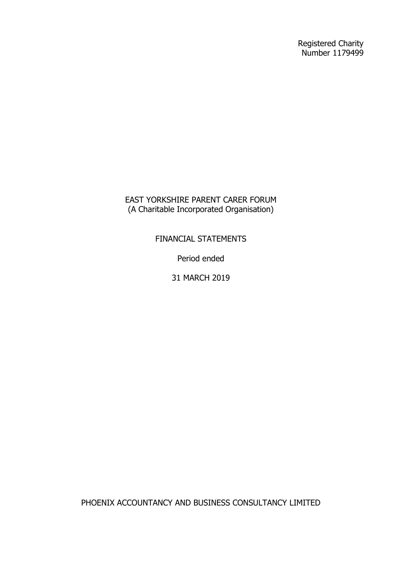Registered Charity Number 1179499

EAST YORKSHIRE PARENT CARER FORUM (A Charitable Incorporated Organisation)

FINANCIAL STATEMENTS

Period ended

31 MARCH 2019

PHOENIX ACCOUNTANCY AND BUSINESS CONSULTANCY LIMITED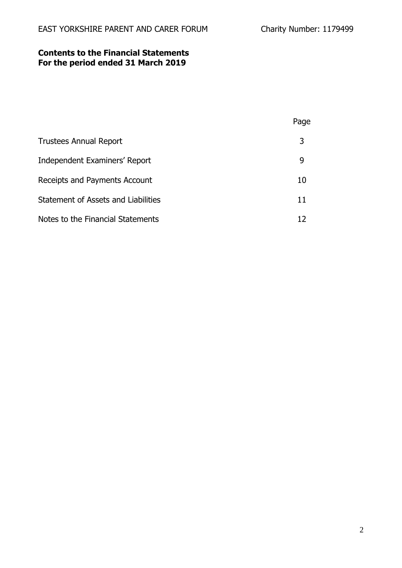# **Contents to the Financial Statements For the period ended 31 March 2019**

|                                     | Page |
|-------------------------------------|------|
| <b>Trustees Annual Report</b>       | 3    |
| Independent Examiners' Report       | 9    |
| Receipts and Payments Account       | 10   |
| Statement of Assets and Liabilities | 11   |
| Notes to the Financial Statements   |      |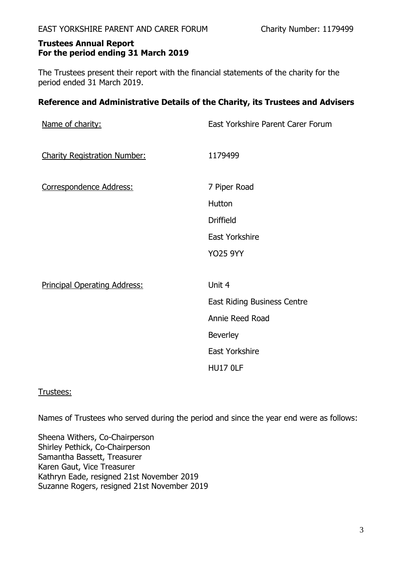The Trustees present their report with the financial statements of the charity for the period ended 31 March 2019.

# **Reference and Administrative Details of the Charity, its Trustees and Advisers**

| Name of charity:                    | East Yorkshire Parent Carer Forum  |
|-------------------------------------|------------------------------------|
| <b>Charity Registration Number:</b> | 1179499                            |
| Correspondence Address:             | 7 Piper Road                       |
|                                     | Hutton                             |
|                                     | <b>Driffield</b>                   |
|                                     | <b>East Yorkshire</b>              |
|                                     | <b>YO25 9YY</b>                    |
| <b>Principal Operating Address:</b> | Unit 4                             |
|                                     | <b>East Riding Business Centre</b> |
|                                     | Annie Reed Road                    |
|                                     | <b>Beverley</b>                    |
|                                     | <b>East Yorkshire</b>              |
|                                     | <b>HU17 OLF</b>                    |

# Trustees:

Names of Trustees who served during the period and since the year end were as follows:

Sheena Withers, Co-Chairperson Shirley Pethick, Co-Chairperson Samantha Bassett, Treasurer Karen Gaut, Vice Treasurer Kathryn Eade, resigned 21st November 2019 Suzanne Rogers, resigned 21st November 2019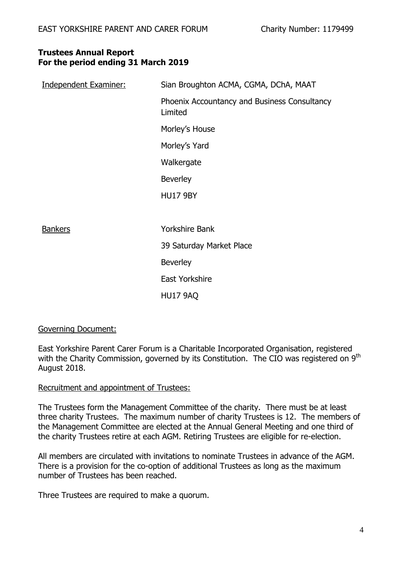| <b>Independent Examiner:</b> | Sian Broughton ACMA, CGMA, DChA, MAAT                   |
|------------------------------|---------------------------------------------------------|
|                              | Phoenix Accountancy and Business Consultancy<br>Limited |
|                              | Morley's House                                          |
|                              | Morley's Yard                                           |
|                              | Walkergate                                              |
|                              | <b>Beverley</b>                                         |
|                              | <b>HU17 9BY</b>                                         |
|                              |                                                         |
| <b>Bankers</b>               | <b>Yorkshire Bank</b>                                   |
|                              | 39 Saturday Market Place                                |
|                              | <b>Beverley</b>                                         |
|                              | <b>East Yorkshire</b>                                   |
|                              | <b>HU17 9AQ</b>                                         |

# Governing Document:

East Yorkshire Parent Carer Forum is a Charitable Incorporated Organisation, registered with the Charity Commission, governed by its Constitution. The CIO was registered on 9<sup>th</sup> August 2018.

### Recruitment and appointment of Trustees:

The Trustees form the Management Committee of the charity. There must be at least three charity Trustees. The maximum number of charity Trustees is 12. The members of the Management Committee are elected at the Annual General Meeting and one third of the charity Trustees retire at each AGM. Retiring Trustees are eligible for re-election.

All members are circulated with invitations to nominate Trustees in advance of the AGM. There is a provision for the co-option of additional Trustees as long as the maximum number of Trustees has been reached.

Three Trustees are required to make a quorum.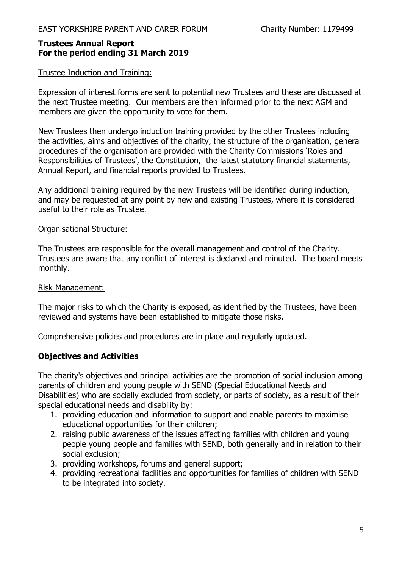### Trustee Induction and Training:

Expression of interest forms are sent to potential new Trustees and these are discussed at the next Trustee meeting. Our members are then informed prior to the next AGM and members are given the opportunity to vote for them.

New Trustees then undergo induction training provided by the other Trustees including the activities, aims and objectives of the charity, the structure of the organisation, general procedures of the organisation are provided with the Charity Commissions 'Roles and Responsibilities of Trustees', the Constitution, the latest statutory financial statements, Annual Report, and financial reports provided to Trustees.

Any additional training required by the new Trustees will be identified during induction, and may be requested at any point by new and existing Trustees, where it is considered useful to their role as Trustee.

## Organisational Structure:

The Trustees are responsible for the overall management and control of the Charity. Trustees are aware that any conflict of interest is declared and minuted. The board meets monthly.

### Risk Management:

The major risks to which the Charity is exposed, as identified by the Trustees, have been reviewed and systems have been established to mitigate those risks.

Comprehensive policies and procedures are in place and regularly updated.

# **Objectives and Activities**

The charity's objectives and principal activities are the promotion of social inclusion among parents of children and young people with SEND (Special Educational Needs and Disabilities) who are socially excluded from society, or parts of society, as a result of their special educational needs and disability by:

- 1. providing education and information to support and enable parents to maximise educational opportunities for their children;
- 2. raising public awareness of the issues affecting families with children and young people young people and families with SEND, both generally and in relation to their social exclusion;
- 3. providing workshops, forums and general support;
- 4. providing recreational facilities and opportunities for families of children with SEND to be integrated into society.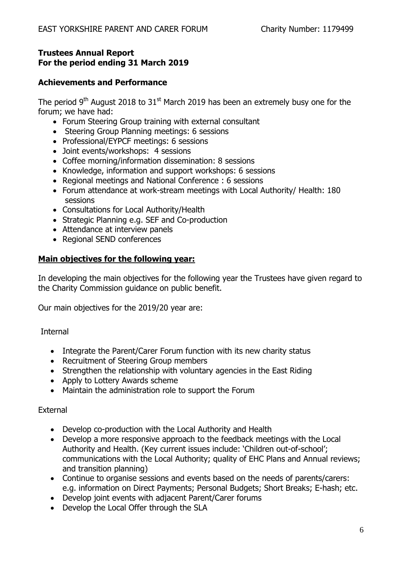# **Achievements and Performance**

The period 9<sup>th</sup> August 2018 to 31<sup>st</sup> March 2019 has been an extremely busy one for the forum; we have had:

- Forum Steering Group training with external consultant
- Steering Group Planning meetings: 6 sessions
- Professional/EYPCF meetings: 6 sessions
- Joint events/workshops: 4 sessions
- Coffee morning/information dissemination: 8 sessions
- Knowledge, information and support workshops: 6 sessions
- Regional meetings and National Conference : 6 sessions
- Forum attendance at work-stream meetings with Local Authority/ Health: 180 sessions
- Consultations for Local Authority/Health
- Strategic Planning e.g. SEF and Co-production
- Attendance at interview panels
- Regional SEND conferences

# **Main objectives for the following year:**

In developing the main objectives for the following year the Trustees have given regard to the Charity Commission guidance on public benefit.

Our main objectives for the 2019/20 year are:

# Internal

- Integrate the Parent/Carer Forum function with its new charity status
- Recruitment of Steering Group members
- Strengthen the relationship with voluntary agencies in the East Riding
- Apply to Lottery Awards scheme
- Maintain the administration role to support the Forum

# External

- Develop co-production with the Local Authority and Health
- Develop a more responsive approach to the feedback meetings with the Local Authority and Health. (Key current issues include: 'Children out-of-school'; communications with the Local Authority; quality of EHC Plans and Annual reviews; and transition planning)
- Continue to organise sessions and events based on the needs of parents/carers: e.g. information on Direct Payments; Personal Budgets; Short Breaks; E-hash; etc.
- Develop joint events with adjacent Parent/Carer forums
- Develop the Local Offer through the SLA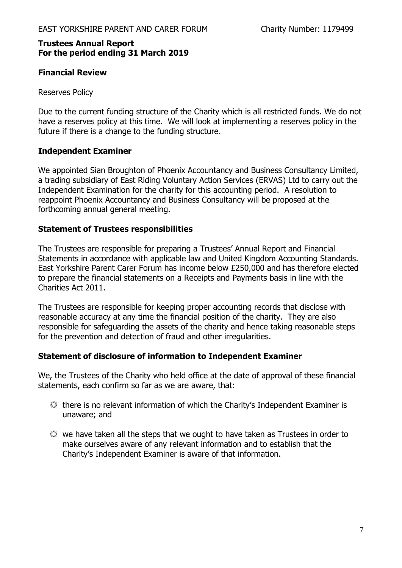# **Financial Review**

### Reserves Policy

Due to the current funding structure of the Charity which is all restricted funds. We do not have a reserves policy at this time. We will look at implementing a reserves policy in the future if there is a change to the funding structure.

# **Independent Examiner**

We appointed Sian Broughton of Phoenix Accountancy and Business Consultancy Limited, a trading subsidiary of East Riding Voluntary Action Services (ERVAS) Ltd to carry out the Independent Examination for the charity for this accounting period. A resolution to reappoint Phoenix Accountancy and Business Consultancy will be proposed at the forthcoming annual general meeting.

## **Statement of Trustees responsibilities**

The Trustees are responsible for preparing a Trustees' Annual Report and Financial Statements in accordance with applicable law and United Kingdom Accounting Standards. East Yorkshire Parent Carer Forum has income below £250,000 and has therefore elected to prepare the financial statements on a Receipts and Payments basis in line with the Charities Act 2011.

The Trustees are responsible for keeping proper accounting records that disclose with reasonable accuracy at any time the financial position of the charity. They are also responsible for safeguarding the assets of the charity and hence taking reasonable steps for the prevention and detection of fraud and other irregularities.

### **Statement of disclosure of information to Independent Examiner**

We, the Trustees of the Charity who held office at the date of approval of these financial statements, each confirm so far as we are aware, that:

- there is no relevant information of which the Charity's Independent Examiner is unaware; and
- we have taken all the steps that we ought to have taken as Trustees in order to make ourselves aware of any relevant information and to establish that the Charity's Independent Examiner is aware of that information.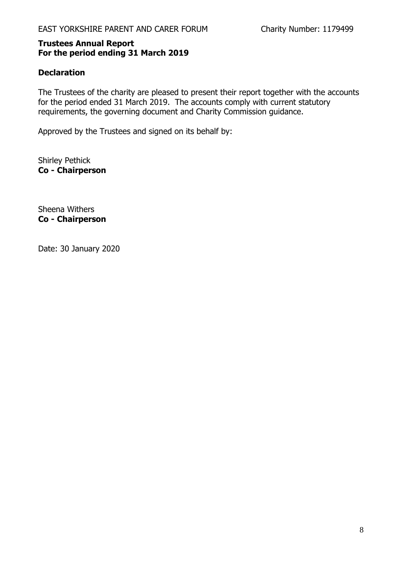# **Declaration**

The Trustees of the charity are pleased to present their report together with the accounts for the period ended 31 March 2019. The accounts comply with current statutory requirements, the governing document and Charity Commission guidance.

Approved by the Trustees and signed on its behalf by:

Shirley Pethick **Co - Chairperson**

Sheena Withers **Co - Chairperson**

Date: 30 January 2020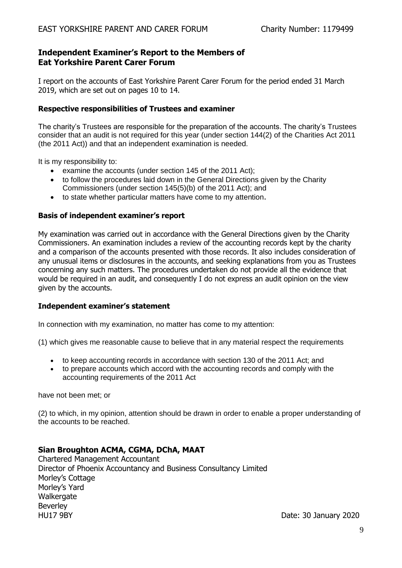## **Independent Examiner's Report to the Members of Eat Yorkshire Parent Carer Forum**

I report on the accounts of East Yorkshire Parent Carer Forum for the period ended 31 March 2019, which are set out on pages 10 to 14.

#### **Respective responsibilities of Trustees and examiner**

The charity's Trustees are responsible for the preparation of the accounts. The charity's Trustees consider that an audit is not required for this year (under section 144(2) of the Charities Act 2011 (the 2011 Act)) and that an independent examination is needed.

It is my responsibility to:

- examine the accounts (under section 145 of the 2011 Act);
- to follow the procedures laid down in the General Directions given by the Charity Commissioners (under section 145(5)(b) of the 2011 Act); and
- to state whether particular matters have come to my attention.

#### **Basis of independent examiner's report**

My examination was carried out in accordance with the General Directions given by the Charity Commissioners. An examination includes a review of the accounting records kept by the charity and a comparison of the accounts presented with those records. It also includes consideration of any unusual items or disclosures in the accounts, and seeking explanations from you as Trustees concerning any such matters. The procedures undertaken do not provide all the evidence that would be required in an audit, and consequently I do not express an audit opinion on the view given by the accounts.

#### **Independent examiner's statement**

In connection with my examination, no matter has come to my attention:

(1) which gives me reasonable cause to believe that in any material respect the requirements

- to keep accounting records in accordance with section 130 of the 2011 Act; and
- to prepare accounts which accord with the accounting records and comply with the accounting requirements of the 2011 Act

have not been met; or

(2) to which, in my opinion, attention should be drawn in order to enable a proper understanding of the accounts to be reached.

### **Sian Broughton ACMA, CGMA, DChA, MAAT**

Chartered Management Accountant Director of Phoenix Accountancy and Business Consultancy Limited Morley's Cottage Morley's Yard Walkergate Beverley HU17 9BY Date: 30 January 2020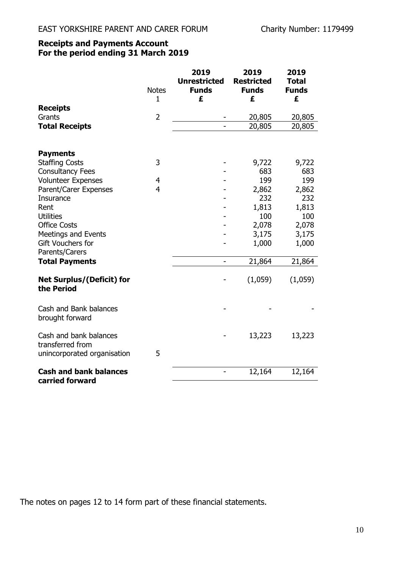# **Receipts and Payments Account For the period ending 31 March 2019**

|                                                | <b>Notes</b>   | 2019<br><b>Unrestricted</b><br><b>Funds</b> | 2019<br><b>Restricted</b><br><b>Funds</b> | 2019<br><b>Total</b><br><b>Funds</b> |
|------------------------------------------------|----------------|---------------------------------------------|-------------------------------------------|--------------------------------------|
| <b>Receipts</b>                                | 1              | £                                           | £                                         | £                                    |
| Grants                                         | $\overline{2}$ |                                             | 20,805                                    | 20,805                               |
| <b>Total Receipts</b>                          |                |                                             | 20,805                                    | 20,805                               |
|                                                |                |                                             |                                           |                                      |
| <b>Payments</b>                                |                |                                             |                                           |                                      |
| <b>Staffing Costs</b>                          | 3              |                                             | 9,722                                     | 9,722                                |
| <b>Consultancy Fees</b>                        |                |                                             | 683                                       | 683                                  |
| <b>Volunteer Expenses</b>                      | 4              |                                             | 199                                       | 199                                  |
| Parent/Carer Expenses                          | 4              |                                             | 2,862                                     | 2,862                                |
| Insurance                                      |                |                                             | 232                                       | 232                                  |
| Rent                                           |                |                                             | 1,813                                     | 1,813                                |
| <b>Utilities</b>                               |                |                                             | 100                                       | 100                                  |
| <b>Office Costs</b>                            |                |                                             | 2,078                                     | 2,078                                |
| <b>Meetings and Events</b>                     |                |                                             | 3,175                                     | 3,175                                |
| Gift Vouchers for                              |                |                                             | 1,000                                     | 1,000                                |
| Parents/Carers                                 |                |                                             |                                           |                                      |
| <b>Total Payments</b>                          |                | -                                           | 21,864                                    | 21,864                               |
| <b>Net Surplus/(Deficit) for</b><br>the Period |                |                                             | (1,059)                                   | (1,059)                              |
| Cash and Bank balances<br>brought forward      |                |                                             |                                           |                                      |
| Cash and bank balances<br>transferred from     |                |                                             | 13,223                                    | 13,223                               |
| unincorporated organisation                    | 5              |                                             |                                           |                                      |
| <b>Cash and bank balances</b>                  |                |                                             | 12,164                                    | 12,164                               |
| carried forward                                |                |                                             |                                           |                                      |

The notes on pages 12 to 14 form part of these financial statements.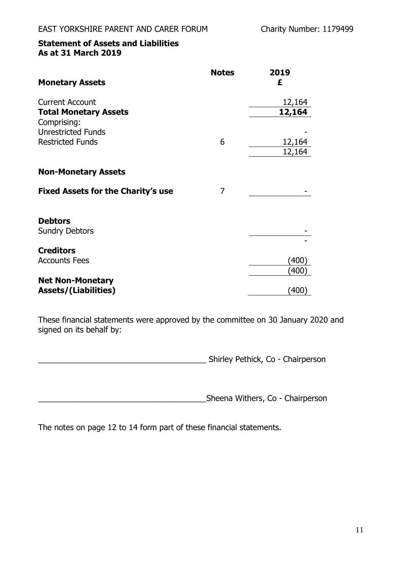# **Statement of Assets and Liabilities As at 31 March 2019**

| <b>Monetary Assets</b>                                 | <b>Notes</b> | 2019<br>£                       |
|--------------------------------------------------------|--------------|---------------------------------|
| <b>Current Account</b><br><b>Total Monetary Assets</b> |              | 12,164<br>12,164                |
| Comprising:<br><b>Unrestricted Funds</b>               |              |                                 |
| <b>Restricted Funds</b>                                | 6            | 12,164<br>12,164                |
| <b>Non-Monetary Assets</b>                             |              |                                 |
| <b>Fixed Assets for the Charity's use</b>              | 7            |                                 |
| <b>Debtors</b><br><b>Sundry Debtors</b>                |              |                                 |
| <b>Creditors</b><br><b>Accounts Fees</b>               |              | $^{\prime}400^{\prime}$<br>(400 |
| <b>Net Non-Monetary</b><br><b>Assets/(Liabilities)</b> |              | $\left( 400\right)$             |

These financial statements were approved by the committee on 30 January 2020 and signed on its behalf by:

\_\_\_\_\_\_\_\_\_\_\_\_\_\_\_\_\_\_\_\_\_\_\_\_\_\_\_\_\_\_\_\_\_\_\_\_\_\_ Shirley Pethick, Co - Chairperson

\_\_\_\_\_\_\_\_\_\_\_\_\_\_\_\_\_\_\_\_\_\_\_\_\_\_\_\_\_\_\_\_\_\_\_\_\_\_Sheena Withers, Co - Chairperson

The notes on page 12 to 14 form part of these financial statements.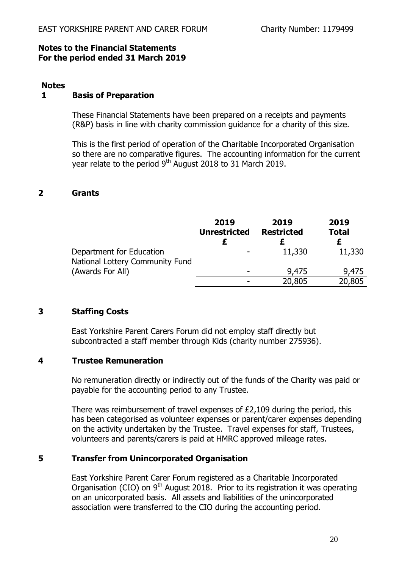### **Notes to the Financial Statements For the period ended 31 March 2019**

### **Notes**

## **1 Basis of Preparation**

These Financial Statements have been prepared on a receipts and payments (R&P) basis in line with charity commission guidance for a charity of this size.

This is the first period of operation of the Charitable Incorporated Organisation so there are no comparative figures. The accounting information for the current year relate to the period 9<sup>th</sup> August 2018 to 31 March 2019.

## **2 Grants**

|                                                             | 2019<br><b>Unrestricted</b> | 2019<br><b>Restricted</b> | 2019<br><b>Total</b> |
|-------------------------------------------------------------|-----------------------------|---------------------------|----------------------|
| Department for Education<br>National Lottery Community Fund |                             | 11,330                    | 11,330               |
| (Awards For All)                                            | $\overline{\phantom{0}}$    | 9,475                     | 9,475                |
|                                                             |                             | 20,805                    | 20,805               |

# **3 Staffing Costs**

East Yorkshire Parent Carers Forum did not employ staff directly but subcontracted a staff member through Kids (charity number 275936).

# **4 Trustee Remuneration**

No remuneration directly or indirectly out of the funds of the Charity was paid or payable for the accounting period to any Trustee.

There was reimbursement of travel expenses of £2,109 during the period, this has been categorised as volunteer expenses or parent/carer expenses depending on the activity undertaken by the Trustee. Travel expenses for staff, Trustees, volunteers and parents/carers is paid at HMRC approved mileage rates.

# **5 Transfer from Unincorporated Organisation**

East Yorkshire Parent Carer Forum registered as a Charitable Incorporated Organisation (CIO) on  $9<sup>th</sup>$  August 2018. Prior to its registration it was operating on an unicorporated basis. All assets and liabilities of the unincorporated association were transferred to the CIO during the accounting period.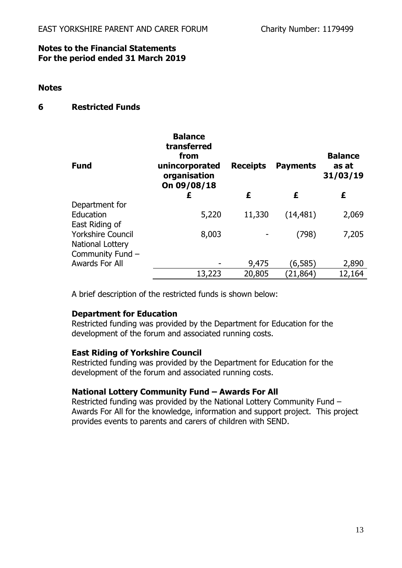### **Notes to the Financial Statements For the period ended 31 March 2019**

### **Notes**

# **6 Restricted Funds**

| <b>Fund</b>              | <b>Balance</b><br>transferred<br>from<br>unincorporated<br>organisation<br>On 09/08/18 | <b>Receipts</b> | <b>Payments</b> | <b>Balance</b><br>as at<br>31/03/19 |
|--------------------------|----------------------------------------------------------------------------------------|-----------------|-----------------|-------------------------------------|
|                          | £                                                                                      | £               | £               | £                                   |
| Department for           |                                                                                        |                 |                 |                                     |
| Education                | 5,220                                                                                  | 11,330          | (14, 481)       | 2,069                               |
| East Riding of           |                                                                                        |                 |                 |                                     |
| <b>Yorkshire Council</b> | 8,003                                                                                  |                 | (798)           | 7,205                               |
| National Lottery         |                                                                                        |                 |                 |                                     |
| Community Fund -         |                                                                                        |                 |                 |                                     |
|                          |                                                                                        |                 |                 |                                     |
| Awards For All           |                                                                                        | 9,475           | (6,585)         | 2,890                               |
|                          | 13,223                                                                                 | 20,805          | (21, 864)       | 12,164                              |

A brief description of the restricted funds is shown below:

# **Department for Education**

Restricted funding was provided by the Department for Education for the development of the forum and associated running costs.

### **East Riding of Yorkshire Council**

Restricted funding was provided by the Department for Education for the development of the forum and associated running costs.

# **National Lottery Community Fund – Awards For All**

Restricted funding was provided by the National Lottery Community Fund – Awards For All for the knowledge, information and support project. This project provides events to parents and carers of children with SEND.